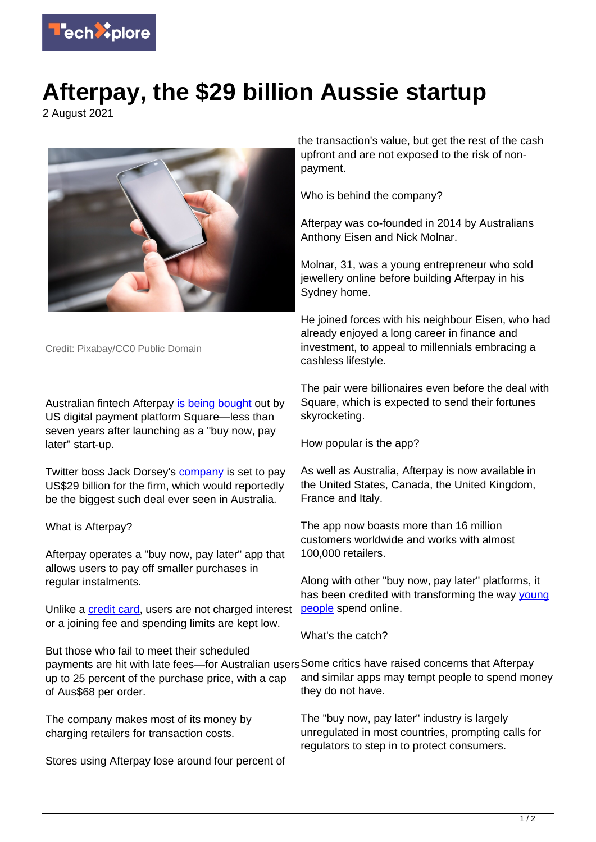

## **Afterpay, the \$29 billion Aussie startup**

2 August 2021



Credit: Pixabay/CC0 Public Domain

Australian fintech Afterpay [is being bought](https://techxplore.com/news/2021-08-square-payment-firm-afterpay-29b.html) out by US digital payment platform Square—less than seven years after launching as a "buy now, pay later" start-up.

Twitter boss Jack Dorsey's [company](https://techxplore.com/tags/company/) is set to pay US\$29 billion for the firm, which would reportedly be the biggest such deal ever seen in Australia.

## What is Afterpay?

Afterpay operates a "buy now, pay later" app that allows users to pay off smaller purchases in regular instalments.

Unlike a [credit card](https://techxplore.com/tags/credit+card/), users are not charged interest or a joining fee and spending limits are kept low.

But those who fail to meet their scheduled payments are hit with late fees—for Australian users Some critics have raised concerns that Afterpay up to 25 percent of the purchase price, with a cap of Aus\$68 per order.

The company makes most of its money by charging retailers for transaction costs.

Stores using Afterpay lose around four percent of

the transaction's value, but get the rest of the cash upfront and are not exposed to the risk of nonpayment.

Who is behind the company?

Afterpay was co-founded in 2014 by Australians Anthony Eisen and Nick Molnar.

Molnar, 31, was a young entrepreneur who sold jewellery online before building Afterpay in his Sydney home.

He joined forces with his neighbour Eisen, who had already enjoyed a long career in finance and investment, to appeal to millennials embracing a cashless lifestyle.

The pair were billionaires even before the deal with Square, which is expected to send their fortunes skyrocketing.

How popular is the app?

As well as Australia, Afterpay is now available in the United States, Canada, the United Kingdom, France and Italy.

The app now boasts more than 16 million customers worldwide and works with almost 100,000 retailers.

Along with other "buy now, pay later" platforms, it has been credited with transforming the way [young](https://techxplore.com/tags/young+people/) [people](https://techxplore.com/tags/young+people/) spend online.

What's the catch?

and similar apps may tempt people to spend money they do not have.

The "buy now, pay later" industry is largely unregulated in most countries, prompting calls for regulators to step in to protect consumers.